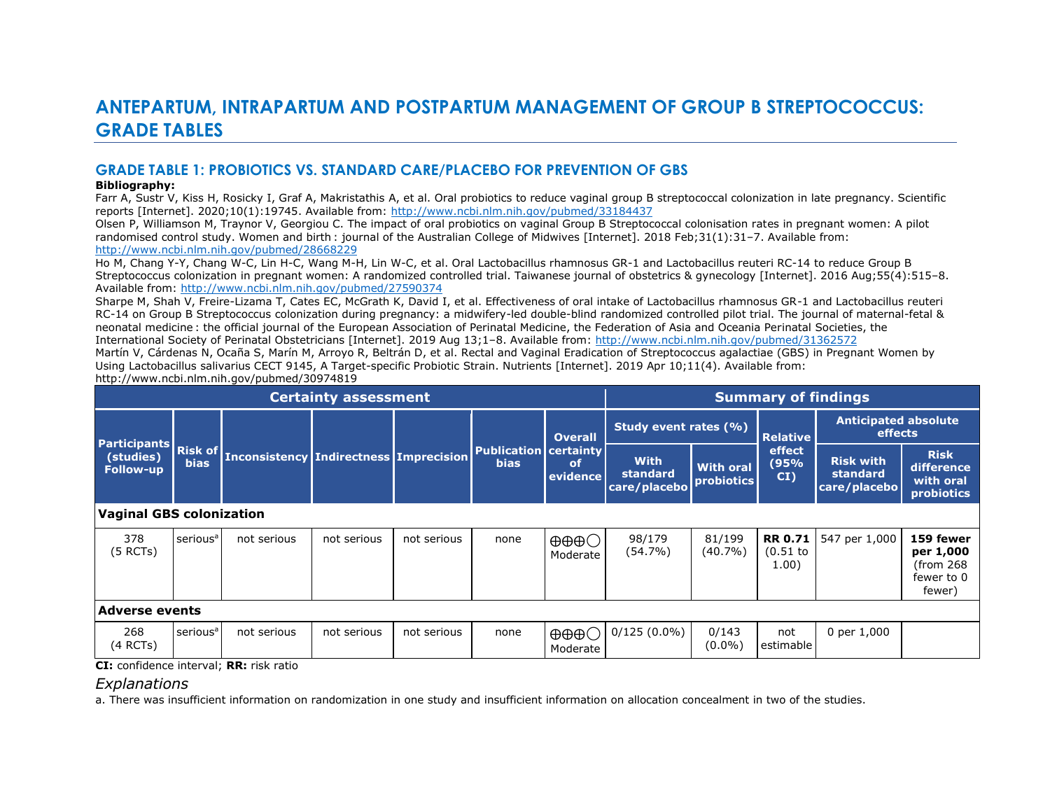# **ANTEPARTUM, INTRAPARTUM AND POSTPARTUM MANAGEMENT OF GROUP B STREPTOCOCCUS: GRADE TABLES**

## **GRADE TABLE 1: PROBIOTICS VS. STANDARD CARE/PLACEBO FOR PREVENTION OF GBS**

#### **Bibliography:**

Farr A, Sustr V, Kiss H, Rosicky I, Graf A, Makristathis A, et al. Oral probiotics to reduce vaginal group B streptococcal colonization in late pregnancy. Scientific reports [Internet]. 2020;10(1):19745. Available from:<http://www.ncbi.nlm.nih.gov/pubmed/33184437>

Olsen P, Williamson M, Traynor V, Georgiou C. The impact of oral probiotics on vaginal Group B Streptococcal colonisation rates in pregnant women: A pilot randomised control study. Women and birth : journal of the Australian College of Midwives [Internet]. 2018 Feb;31(1):31–7. Available from: <http://www.ncbi.nlm.nih.gov/pubmed/28668229>

Ho M, Chang Y-Y, Chang W-C, Lin H-C, Wang M-H, Lin W-C, et al. Oral Lactobacillus rhamnosus GR-1 and Lactobacillus reuteri RC-14 to reduce Group B Streptococcus colonization in pregnant women: A randomized controlled trial. Taiwanese journal of obstetrics & gynecology [Internet]. 2016 Aug;55(4):515–8. Available from:<http://www.ncbi.nlm.nih.gov/pubmed/27590374>

Sharpe M, Shah V, Freire-Lizama T, Cates EC, McGrath K, David I, et al. Effectiveness of oral intake of Lactobacillus rhamnosus GR-1 and Lactobacillus reuteri RC-14 on Group B Streptococcus colonization during pregnancy: a midwifery-led double-blind randomized controlled pilot trial. The journal of maternal-fetal & neonatal medicine : the official journal of the European Association of Perinatal Medicine, the Federation of Asia and Oceania Perinatal Societies, the International Society of Perinatal Obstetricians [Internet]. 2019 Aug 13;1–8. Available from:<http://www.ncbi.nlm.nih.gov/pubmed/31362572>

Martín V, Cárdenas N, Ocaña S, Marín M, Arroyo R, Beltrán D, et al. Rectal and Vaginal Eradication of Streptococcus agalactiae (GBS) in Pregnant Women by Using Lactobacillus salivarius CECT 9145, A Target-specific Probiotic Strain. Nutrients [Internet]. 2019 Apr 10;11(4). Available from: http://www.ncbi.nlm.nih.gov/pubmed/30974819

|                                                      |                      |                                                | <b>Certainty assessment</b> |             |                                               |                                      | <b>Summary of findings</b>              |                                |                                       |                                              |                                                             |
|------------------------------------------------------|----------------------|------------------------------------------------|-----------------------------|-------------|-----------------------------------------------|--------------------------------------|-----------------------------------------|--------------------------------|---------------------------------------|----------------------------------------------|-------------------------------------------------------------|
|                                                      |                      |                                                |                             |             |                                               | <b>Overall</b>                       | Study event rates (%)                   |                                | <b>Relative</b>                       | <b>Anticipated absolute</b><br>effects       |                                                             |
| <b>Participants</b><br>(studies)<br><b>Follow-up</b> |                      | Risk of Inconsistency Indirectness Imprecision |                             |             | <b>Publication   certainty</b><br><b>bias</b> | <b>of</b><br>evidence                | <b>With</b><br>standard<br>care/placebo | <b>With oral</b><br>probiotics | effect<br>(95%<br>CI)                 | <b>Risk with</b><br>standard<br>care/placebo | <b>Risk</b><br>difference<br>with oral<br>probiotics        |
| Vaginal GBS colonization                             |                      |                                                |                             |             |                                               |                                      |                                         |                                |                                       |                                              |                                                             |
| 378<br>$(5$ RCTs)                                    | serious <sup>a</sup> | not serious                                    | not serious                 | not serious | none                                          | $\oplus \oplus \oplus C$<br>Moderate | 98/179<br>$(54.7\%)$                    | 81/199<br>$(40.7\%)$           | <b>RR 0.71</b><br>$(0.51$ to<br>1.00) | 547 per 1,000                                | 159 fewer<br>per 1,000<br>(from 268<br>fewer to 0<br>fewer) |
| <b>Adverse events</b>                                |                      |                                                |                             |             |                                               |                                      |                                         |                                |                                       |                                              |                                                             |
| 268<br>(4 RCTs)                                      | serious <sup>a</sup> | not serious                                    | not serious                 | not serious | none                                          | $\oplus \oplus \oplus C$<br>Moderate | $0/125(0.0\%)$                          | 0/143<br>$(0.0\%)$             | not<br>estimable                      | 0 per 1,000                                  |                                                             |

**CI:** confidence interval; **RR:** risk ratio

## *Explanations*

a. There was insufficient information on randomization in one study and insufficient information on allocation concealment in two of the studies.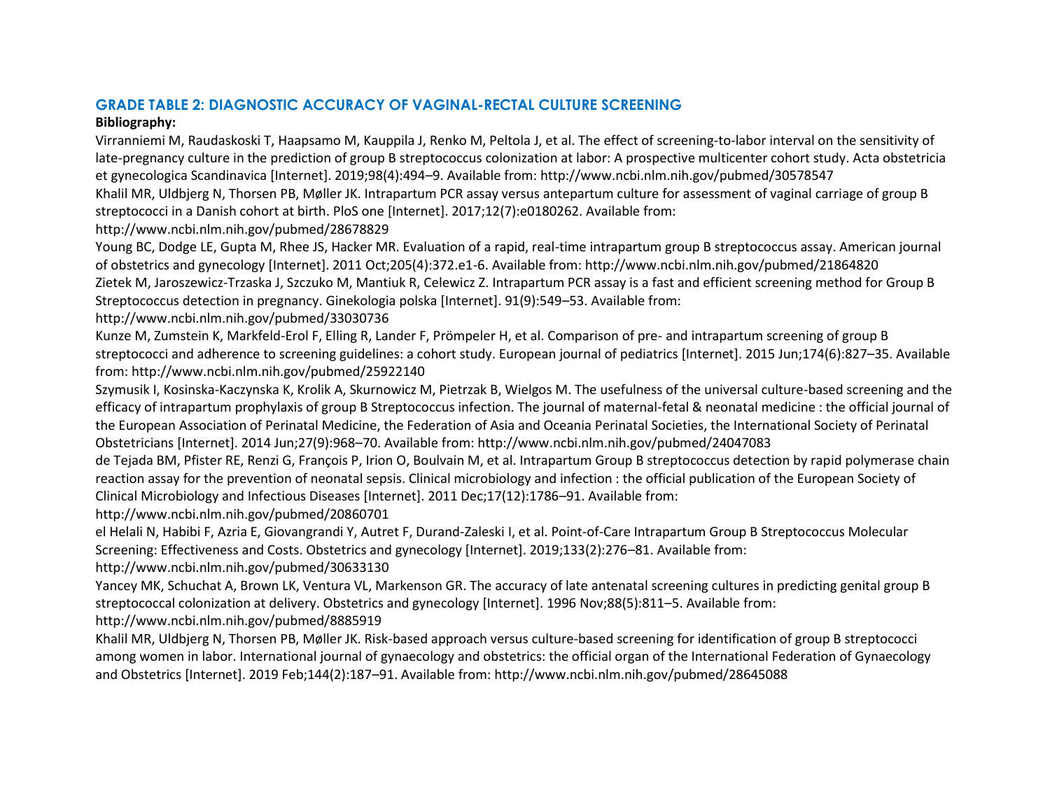# **GRADE TABLE 2: DIAGNOSTIC ACCURACY OF VAGINAL-RECTAL CULTURE SCREENING**

## **Bibliography:**

Virranniemi M, Raudaskoski T, Haapsamo M, Kauppila J, Renko M, Peltola J, et al. The effect of screening-to-labor interval on the sensitivity of late-pregnancy culture in the prediction of group B streptococcus colonization at labor: A prospective multicenter cohort study. Acta obstetricia et gynecologica Scandinavica [Internet]. 2019;98(4):494–9. Available from: http://www.ncbi.nlm.nih.gov/pubmed/30578547

Khalil MR, Uldbjerg N, Thorsen PB, Møller JK. Intrapartum PCR assay versus antepartum culture for assessment of vaginal carriage of group B streptococci in a Danish cohort at birth. PloS one [Internet]. 2017;12(7):e0180262. Available from:

http://www.ncbi.nlm.nih.gov/pubmed/28678829

Young BC, Dodge LE, Gupta M, Rhee JS, Hacker MR. Evaluation of a rapid, real-time intrapartum group B streptococcus assay. American journal of obstetrics and gynecology [Internet]. 2011 Oct;205(4):372.e1-6. Available from: http://www.ncbi.nlm.nih.gov/pubmed/21864820 Zietek M, Jaroszewicz-Trzaska J, Szczuko M, Mantiuk R, Celewicz Z. Intrapartum PCR assay is a fast and efficient screening method for Group B Streptococcus detection in pregnancy. Ginekologia polska [Internet]. 91(9):549–53. Available from:

http://www.ncbi.nlm.nih.gov/pubmed/33030736

Kunze M, Zumstein K, Markfeld-Erol F, Elling R, Lander F, Prömpeler H, et al. Comparison of pre- and intrapartum screening of group B streptococci and adherence to screening guidelines: a cohort study. European journal of pediatrics [Internet]. 2015 Jun;174(6):827–35. Available from: http://www.ncbi.nlm.nih.gov/pubmed/25922140

Szymusik I, Kosinska-Kaczynska K, Krolik A, Skurnowicz M, Pietrzak B, Wielgos M. The usefulness of the universal culture-based screening and the efficacy of intrapartum prophylaxis of group B Streptococcus infection. The journal of maternal-fetal & neonatal medicine : the official journal of the European Association of Perinatal Medicine, the Federation of Asia and Oceania Perinatal Societies, the International Society of Perinatal Obstetricians [Internet]. 2014 Jun;27(9):968–70. Available from: http://www.ncbi.nlm.nih.gov/pubmed/24047083

de Tejada BM, Pfister RE, Renzi G, François P, Irion O, Boulvain M, et al. Intrapartum Group B streptococcus detection by rapid polymerase chain reaction assay for the prevention of neonatal sepsis. Clinical microbiology and infection : the official publication of the European Society of Clinical Microbiology and Infectious Diseases [Internet]. 2011 Dec;17(12):1786–91. Available from:

http://www.ncbi.nlm.nih.gov/pubmed/20860701

el Helali N, Habibi F, Azria E, Giovangrandi Y, Autret F, Durand-Zaleski I, et al. Point-of-Care Intrapartum Group B Streptococcus Molecular Screening: Effectiveness and Costs. Obstetrics and gynecology [Internet]. 2019;133(2):276–81. Available from:

http://www.ncbi.nlm.nih.gov/pubmed/30633130

Yancey MK, Schuchat A, Brown LK, Ventura VL, Markenson GR. The accuracy of late antenatal screening cultures in predicting genital group B streptococcal colonization at delivery. Obstetrics and gynecology [Internet]. 1996 Nov;88(5):811–5. Available from: http://www.ncbi.nlm.nih.gov/pubmed/8885919

Khalil MR, Uldbjerg N, Thorsen PB, Møller JK. Risk-based approach versus culture-based screening for identification of group B streptococci among women in labor. International journal of gynaecology and obstetrics: the official organ of the International Federation of Gynaecology and Obstetrics [Internet]. 2019 Feb;144(2):187–91. Available from: http://www.ncbi.nlm.nih.gov/pubmed/28645088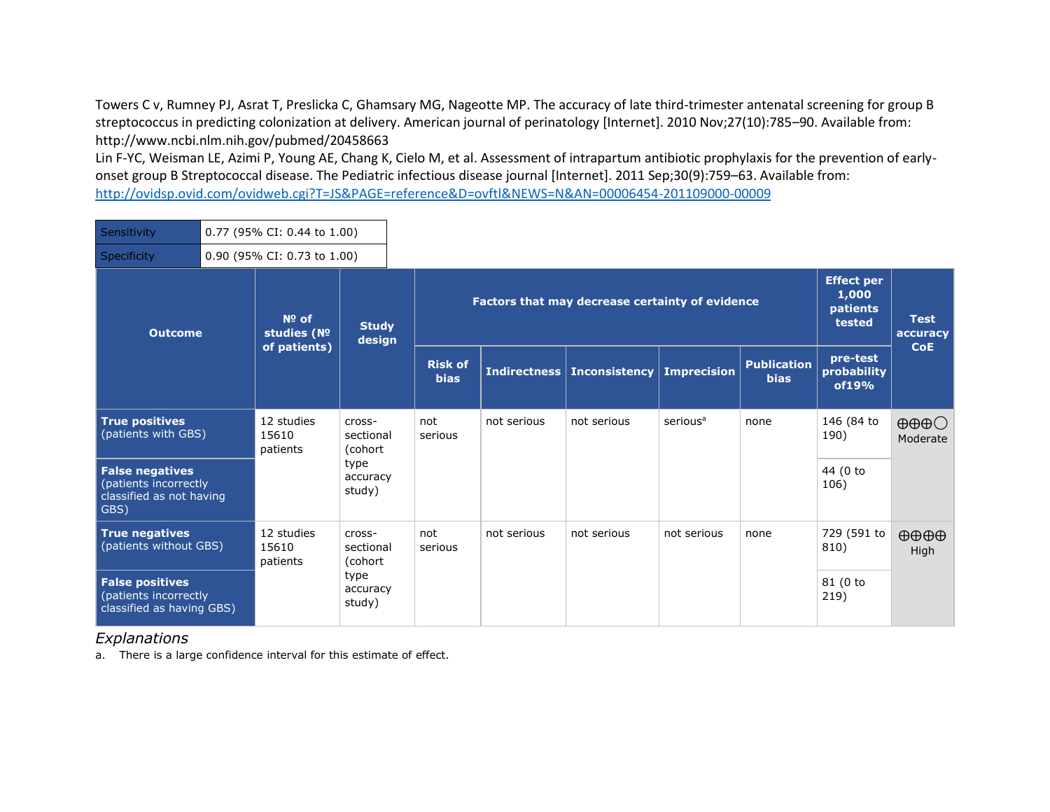Towers C v, Rumney PJ, Asrat T, Preslicka C, Ghamsary MG, Nageotte MP. The accuracy of late third-trimester antenatal screening for group B streptococcus in predicting colonization at delivery. American journal of perinatology [Internet]. 2010 Nov;27(10):785–90. Available from: http://www.ncbi.nlm.nih.gov/pubmed/20458663

Lin F-YC, Weisman LE, Azimi P, Young AE, Chang K, Cielo M, et al. Assessment of intrapartum antibiotic prophylaxis for the prevention of earlyonset group B Streptococcal disease. The Pediatric infectious disease journal [Internet]. 2011 Sep;30(9):759–63. Available from: <http://ovidsp.ovid.com/ovidweb.cgi?T=JS&PAGE=reference&D=ovftl&NEWS=N&AN=00006454-201109000-00009>

| Sensitivity                                                                         | 0.77 (95% CI: 0.44 to 1.00)<br>0.90 (95% CI: 0.73 to 1.00) |                                 |                                 |                               |             |                                                 |                      |                                   |                                                         |                                             |
|-------------------------------------------------------------------------------------|------------------------------------------------------------|---------------------------------|---------------------------------|-------------------------------|-------------|-------------------------------------------------|----------------------|-----------------------------------|---------------------------------------------------------|---------------------------------------------|
| Specificity                                                                         |                                                            |                                 |                                 |                               |             |                                                 |                      |                                   |                                                         |                                             |
| <b>Outcome</b>                                                                      |                                                            | $N0$ of<br>studies (Nº          | <b>Study</b><br>design          |                               |             | Factors that may decrease certainty of evidence |                      |                                   | <b>Effect per</b><br>1,000<br><b>patients</b><br>tested | <b>Test</b><br>accuracy                     |
|                                                                                     |                                                            | of patients)                    |                                 | <b>Risk of</b><br><b>bias</b> |             | Indirectness   Inconsistency                    | <b>Imprecision</b>   | <b>Publication</b><br><b>bias</b> | pre-test<br>probability<br>of19%                        | <b>CoE</b>                                  |
| <b>True positives</b><br>(patients with GBS)                                        |                                                            | 12 studies<br>15610<br>patients | cross-<br>sectional<br>(cohort) | not<br>serious                | not serious | not serious                                     | serious <sup>a</sup> | none                              | 146 (84 to<br>190)                                      | $\oplus \oplus \oplus \bigcirc$<br>Moderate |
| <b>False negatives</b><br>(patients incorrectly<br>classified as not having<br>GBS) |                                                            |                                 | type<br>accuracy<br>study)      |                               |             |                                                 |                      |                                   | 44 (0 to<br>106)                                        |                                             |
| <b>True negatives</b><br>(patients without GBS)                                     |                                                            | 12 studies<br>15610<br>patients | cross-<br>sectional<br>(cohort  | not<br>serious                | not serious | not serious                                     | not serious          | none                              | 729 (591 to<br>810)                                     | $\oplus \oplus \oplus \oplus$<br>High       |
| <b>False positives</b><br>(patients incorrectly<br>classified as having GBS)        |                                                            |                                 | type<br>accuracy<br>study)      |                               |             |                                                 |                      |                                   | 81 (0 to<br>219)                                        |                                             |

### *Explanations*

a. There is a large confidence interval for this estimate of effect.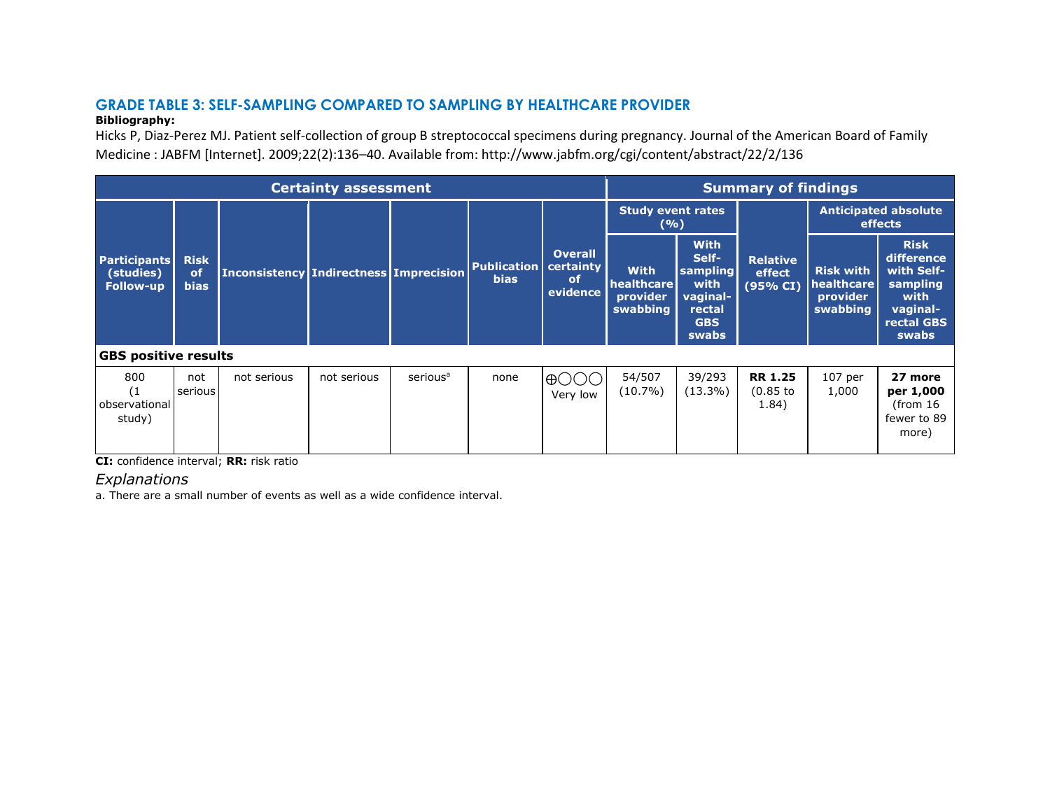# **GRADE TABLE 3: SELF-SAMPLING COMPARED TO SAMPLING BY HEALTHCARE PROVIDER**

#### **Bibliography:**

Hicks P, Diaz-Perez MJ. Patient self-collection of group B streptococcal specimens during pregnancy. Journal of the American Board of Family Medicine : JABFM [Internet]. 2009;22(2):136–40. Available from: http://www.jabfm.org/cgi/content/abstract/22/2/136

|                                                      |                                         |                                               | <b>Certainty assessment</b> |                      |                                   |                                                      |                                                   |                                                                                       | <b>Summary of findings</b>            |                                                        |                                                                                                |
|------------------------------------------------------|-----------------------------------------|-----------------------------------------------|-----------------------------|----------------------|-----------------------------------|------------------------------------------------------|---------------------------------------------------|---------------------------------------------------------------------------------------|---------------------------------------|--------------------------------------------------------|------------------------------------------------------------------------------------------------|
|                                                      |                                         |                                               |                             |                      |                                   |                                                      | <b>Study event rates</b><br>(9/6)                 |                                                                                       |                                       |                                                        | <b>Anticipated absolute</b><br>effects                                                         |
| <b>Participants</b><br>(studies)<br><b>Follow-up</b> | <b>Risk</b><br><b>of</b><br><b>bias</b> | <b>Inconsistency Indirectness Imprecision</b> |                             |                      | <b>Publication</b><br><b>bias</b> | <b>Overall</b><br>certainty<br><b>of</b><br>evidence | <b>With</b><br>healthcare<br>provider<br>swabbing | <b>With</b><br>Self-<br>sampling<br>with<br>vaginal-<br>rectal<br><b>GBS</b><br>swabs | <b>Relative</b><br>effect<br>(95% CI) | <b>Risk with</b><br>healthcare<br>provider<br>swabbing | <b>Risk</b><br>difference<br>with Self-<br>sampling<br>with<br>vaginal-<br>rectal GBS<br>swabs |
| <b>GBS positive results</b>                          |                                         |                                               |                             |                      |                                   |                                                      |                                                   |                                                                                       |                                       |                                                        |                                                                                                |
| 800<br>(1)<br>observational<br>study)                | not<br>serious                          | not serious                                   | not serious                 | serious <sup>a</sup> | none                              | $\oplus$ ( )<br>Very low                             | 54/507<br>$(10.7\%)$                              | 39/293<br>$(13.3\%)$                                                                  | <b>RR 1.25</b><br>$(0.85$ to<br>1.84) | $107$ per<br>1,000                                     | 27 more<br>per 1,000<br>(from 16<br>fewer to 89<br>more)                                       |

**CI:** confidence interval; **RR:** risk ratio

*Explanations*

a. There are a small number of events as well as a wide confidence interval.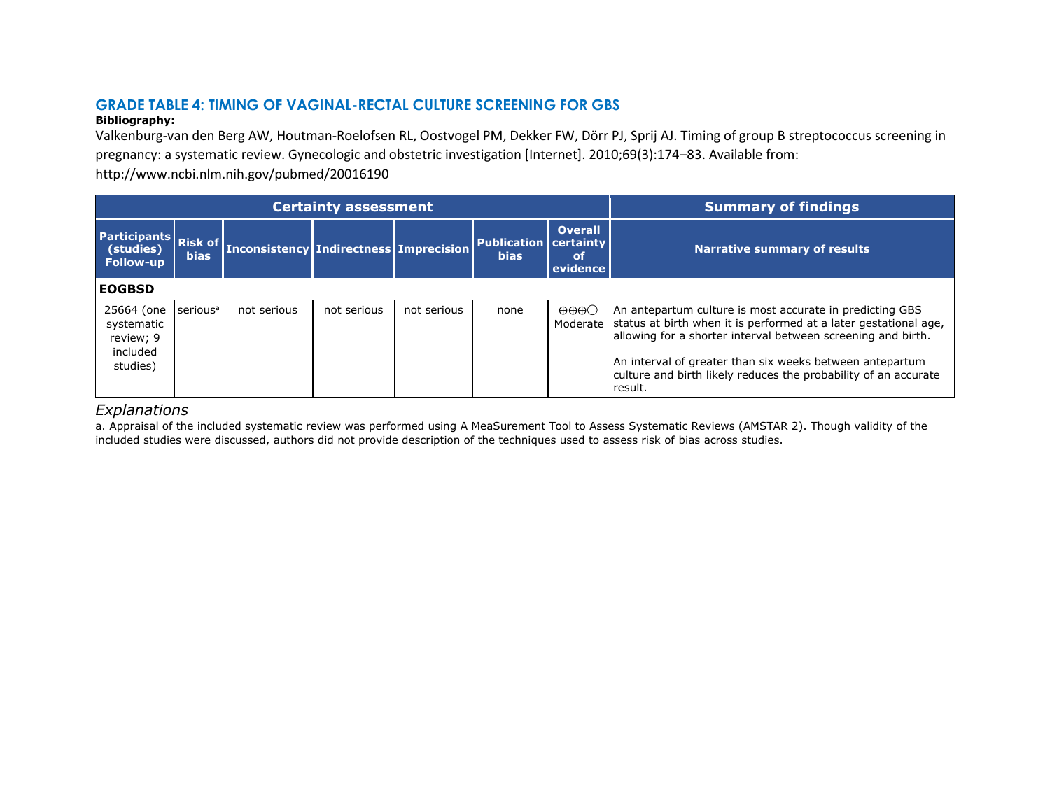# **GRADE TABLE 4: TIMING OF VAGINAL-RECTAL CULTURE SCREENING FOR GBS**

#### **Bibliography:**

Valkenburg-van den Berg AW, Houtman-Roelofsen RL, Oostvogel PM, Dekker FW, Dörr PJ, Sprij AJ. Timing of group B streptococcus screening in pregnancy: a systematic review. Gynecologic and obstetric investigation [Internet]. 2010;69(3):174–83. Available from:

http://www.ncbi.nlm.nih.gov/pubmed/20016190

|                                                               |                               |                                               | <b>Certainty assessment</b> |             |                                                 |                                         | <b>Summary of findings</b>                                                                                                                                                                                                                                                                                                                        |
|---------------------------------------------------------------|-------------------------------|-----------------------------------------------|-----------------------------|-------------|-------------------------------------------------|-----------------------------------------|---------------------------------------------------------------------------------------------------------------------------------------------------------------------------------------------------------------------------------------------------------------------------------------------------------------------------------------------------|
| <b>Participants</b><br>(studies)<br><b>Follow-up</b>          | <b>Risk of</b><br><b>bias</b> | <b>Inconsistency Indirectness Imprecision</b> |                             |             | <b>Publication   certainty  </b><br><b>bias</b> | <b>Overall</b><br><b>of</b><br>evidence | <b>Narrative summary of results</b>                                                                                                                                                                                                                                                                                                               |
| <b>EOGBSD</b>                                                 |                               |                                               |                             |             |                                                 |                                         |                                                                                                                                                                                                                                                                                                                                                   |
| 25664 (one<br>systematic<br>review; 9<br>included<br>studies) | serious <sup>a</sup>          | not serious                                   | not serious                 | not serious | none                                            | $\oplus \oplus \oplus \bigcirc$         | An antepartum culture is most accurate in predicting GBS<br>Moderate   status at birth when it is performed at a later gestational age,<br>allowing for a shorter interval between screening and birth.<br>An interval of greater than six weeks between antepartum<br>culture and birth likely reduces the probability of an accurate<br>result. |

## *Explanations*

a. Appraisal of the included systematic review was performed using A MeaSurement Tool to Assess Systematic Reviews (AMSTAR 2). Though validity of the included studies were discussed, authors did not provide description of the techniques used to assess risk of bias across studies.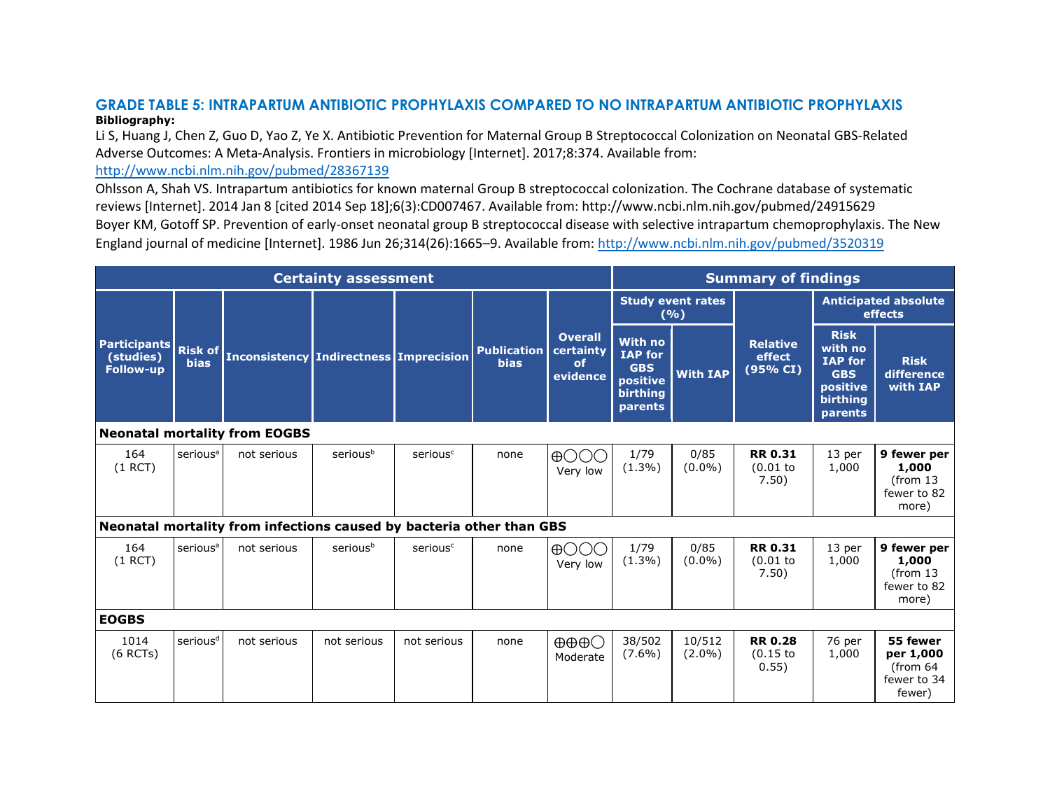## **GRADE TABLE 5: INTRAPARTUM ANTIBIOTIC PROPHYLAXIS COMPARED TO NO INTRAPARTUM ANTIBIOTIC PROPHYLAXIS Bibliography:**

Li S, Huang J, Chen Z, Guo D, Yao Z, Ye X. Antibiotic Prevention for Maternal Group B Streptococcal Colonization on Neonatal GBS-Related Adverse Outcomes: A Meta-Analysis. Frontiers in microbiology [Internet]. 2017;8:374. Available from:

## <http://www.ncbi.nlm.nih.gov/pubmed/28367139>

Ohlsson A, Shah VS. Intrapartum antibiotics for known maternal Group B streptococcal colonization. The Cochrane database of systematic reviews [Internet]. 2014 Jan 8 [cited 2014 Sep 18];6(3):CD007467. Available from: http://www.ncbi.nlm.nih.gov/pubmed/24915629 Boyer KM, Gotoff SP. Prevention of early-onset neonatal group B streptococcal disease with selective intrapartum chemoprophylaxis. The New England journal of medicine [Internet]. 1986 Jun 26;314(26):1665–9. Available from:<http://www.ncbi.nlm.nih.gov/pubmed/3520319>

|                                                      |                               |                                                                      | <b>Certainty assessment</b> |                      |                                   |                                                          |                                                                                   |                                   | <b>Summary of findings</b>            |                                                                                           |                                                                     |
|------------------------------------------------------|-------------------------------|----------------------------------------------------------------------|-----------------------------|----------------------|-----------------------------------|----------------------------------------------------------|-----------------------------------------------------------------------------------|-----------------------------------|---------------------------------------|-------------------------------------------------------------------------------------------|---------------------------------------------------------------------|
|                                                      |                               |                                                                      |                             |                      |                                   |                                                          |                                                                                   | <b>Study event rates</b><br>(9/6) |                                       |                                                                                           | <b>Anticipated absolute</b><br>effects                              |
| <b>Participants</b><br>(studies)<br><b>Follow-up</b> | <b>Risk of</b><br><b>bias</b> | <b>Inconsistency   Indirectness   Imprecision</b>                    |                             |                      | <b>Publication</b><br><b>bias</b> | <b>Overall</b><br>certainty<br><sub>of</sub><br>evidence | <b>With no</b><br><b>IAP</b> for<br><b>GBS</b><br>positive<br>birthing<br>parents | <b>With IAP</b>                   | <b>Relative</b><br>effect<br>(95% CI) | <b>Risk</b><br>with no<br><b>IAP for</b><br><b>GBS</b><br>positive<br>birthing<br>parents | <b>Risk</b><br>difference<br>with IAP                               |
|                                                      |                               | <b>Neonatal mortality from EOGBS</b>                                 |                             |                      |                                   |                                                          |                                                                                   |                                   |                                       |                                                                                           |                                                                     |
| 164<br>$(1$ RCT)                                     | serious <sup>a</sup>          | not serious                                                          | seriousb                    | serious <sup>c</sup> | none                              | $\oplus$ OOO<br>Very low                                 | 1/79<br>$(1.3\%)$                                                                 | 0/85<br>$(0.0\%)$                 | <b>RR 0.31</b><br>(0.01)<br>7.50)     | 13 per<br>1,000                                                                           | 9 fewer per<br>1,000<br>(from <sub>13</sub><br>fewer to 82<br>more) |
|                                                      |                               | Neonatal mortality from infections caused by bacteria other than GBS |                             |                      |                                   |                                                          |                                                                                   |                                   |                                       |                                                                                           |                                                                     |
| 164<br>$(1$ RCT)                                     | serious <sup>a</sup>          | not serious                                                          | seriousb                    | serious <sup>c</sup> | none                              | $\bigoplus$ ( ) ( ) ( )<br>Very low                      | 1/79<br>$(1.3\%)$                                                                 | 0/85<br>$(0.0\%)$                 | <b>RR 0.31</b><br>(0.01)<br>7.50)     | 13 per<br>1,000                                                                           | 9 fewer per<br>1,000<br>(from <sub>13</sub><br>fewer to 82<br>more) |
| <b>EOGBS</b>                                         |                               |                                                                      |                             |                      |                                   |                                                          |                                                                                   |                                   |                                       |                                                                                           |                                                                     |
| 1014<br>$(6$ RCTs)                                   | serious <sup>d</sup>          | not serious                                                          | not serious                 | not serious          | none                              | $\oplus \oplus \oplus \bigcirc$<br>Moderate              | 38/502<br>$(7.6\%)$                                                               | 10/512<br>$(2.0\%)$               | <b>RR 0.28</b><br>$(0.15$ to<br>0.55) | 76 per<br>1,000                                                                           | 55 fewer<br>per 1,000<br>(from $64$<br>fewer to 34<br>fewer)        |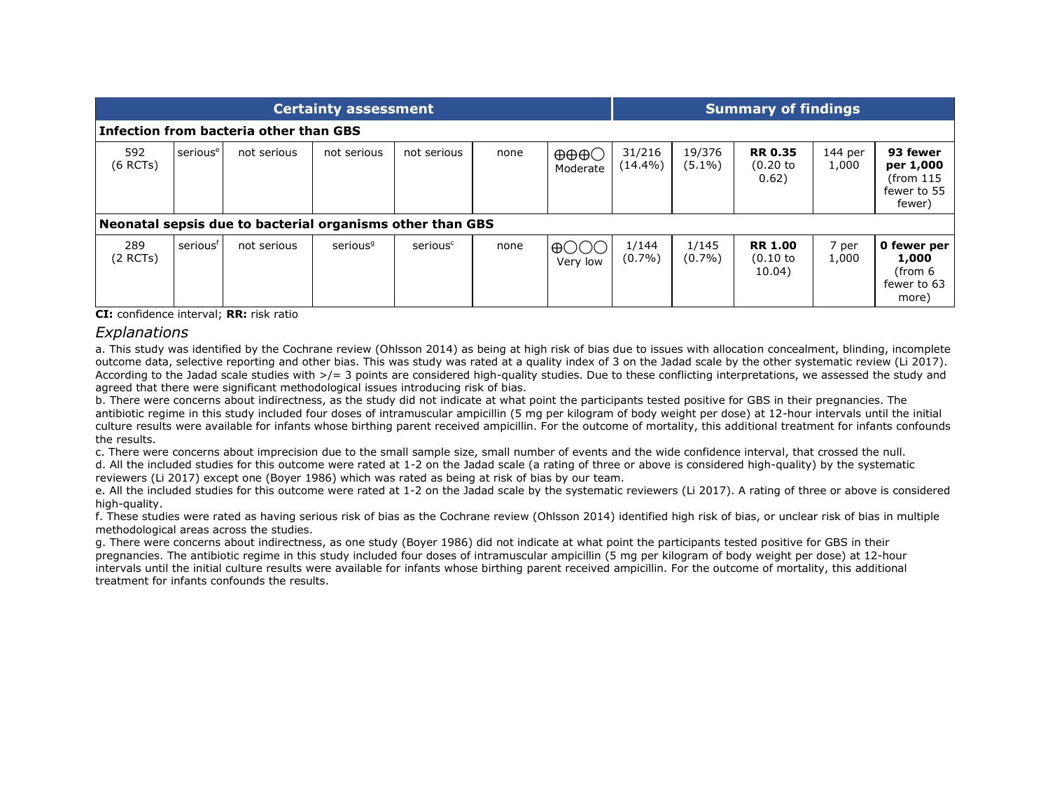|                   |                      |                                                           | <b>Certainty assessment</b> |                      |      | <b>Summary of findings</b>                               |                      |                     |                                    |                  |                                                             |
|-------------------|----------------------|-----------------------------------------------------------|-----------------------------|----------------------|------|----------------------------------------------------------|----------------------|---------------------|------------------------------------|------------------|-------------------------------------------------------------|
|                   |                      | Infection from bacteria other than GBS                    |                             |                      |      |                                                          |                      |                     |                                    |                  |                                                             |
| 592<br>$(6$ RCTs) | serious <sup>e</sup> | not serious                                               | not serious                 | not serious          | none | ⊕⊕⊕<br>Moderate                                          | 31/216<br>$(14.4\%)$ | 19/376<br>$(5.1\%)$ | <b>RR 0.35</b><br>(0.20)<br>0.62)  | 144 per<br>1,000 | 93 fewer<br>per 1,000<br>(from 115<br>fewer to 55<br>fewer) |
|                   |                      | Neonatal sepsis due to bacterial organisms other than GBS |                             |                      |      |                                                          |                      |                     |                                    |                  |                                                             |
| 289<br>(2 RCTs)   | seriousf             | not serious                                               | serious <sup>9</sup>        | serious <sup>c</sup> | none | $\bigoplus$ $\bigodot$ $\bigodot$ $\bigodot$<br>Very low | 1/144<br>$(0.7\%)$   | 1/145<br>$(0.7\%)$  | <b>RR 1.00</b><br>(0.10)<br>10.04) | 7 per<br>1,000   | 0 fewer per<br>1,000<br>(from 6<br>fewer to 63<br>more)     |

**CI:** confidence interval; **RR:** risk ratio

#### *Explanations*

a. This study was identified by the Cochrane review (Ohlsson 2014) as being at high risk of bias due to issues with allocation concealment, blinding, incomplete outcome data, selective reporting and other bias. This was study was rated at a quality index of 3 on the Jadad scale by the other systematic review (Li 2017). According to the Jadad scale studies with  $\geq$  3 points are considered high-quality studies. Due to these conflicting interpretations, we assessed the study and agreed that there were significant methodological issues introducing risk of bias.

b. There were concerns about indirectness, as the study did not indicate at what point the participants tested positive for GBS in their pregnancies. The antibiotic regime in this study included four doses of intramuscular ampicillin (5 mg per kilogram of body weight per dose) at 12-hour intervals until the initial culture results were available for infants whose birthing parent received ampicillin. For the outcome of mortality, this additional treatment for infants confounds the results.

c. There were concerns about imprecision due to the small sample size, small number of events and the wide confidence interval, that crossed the null.

d. All the included studies for this outcome were rated at 1-2 on the Jadad scale (a rating of three or above is considered high-quality) by the systematic reviewers (Li 2017) except one (Boyer 1986) which was rated as being at risk of bias by our team.

e. All the included studies for this outcome were rated at 1-2 on the Jadad scale by the systematic reviewers (Li 2017). A rating of three or above is considered high-quality.

f. These studies were rated as having serious risk of bias as the Cochrane review (Ohlsson 2014) identified high risk of bias, or unclear risk of bias in multiple methodological areas across the studies.

g. There were concerns about indirectness, as one study (Boyer 1986) did not indicate at what point the participants tested positive for GBS in their pregnancies. The antibiotic regime in this study included four doses of intramuscular ampicillin (5 mg per kilogram of body weight per dose) at 12-hour intervals until the initial culture results were available for infants whose birthing parent received ampicillin. For the outcome of mortality, this additional treatment for infants confounds the results.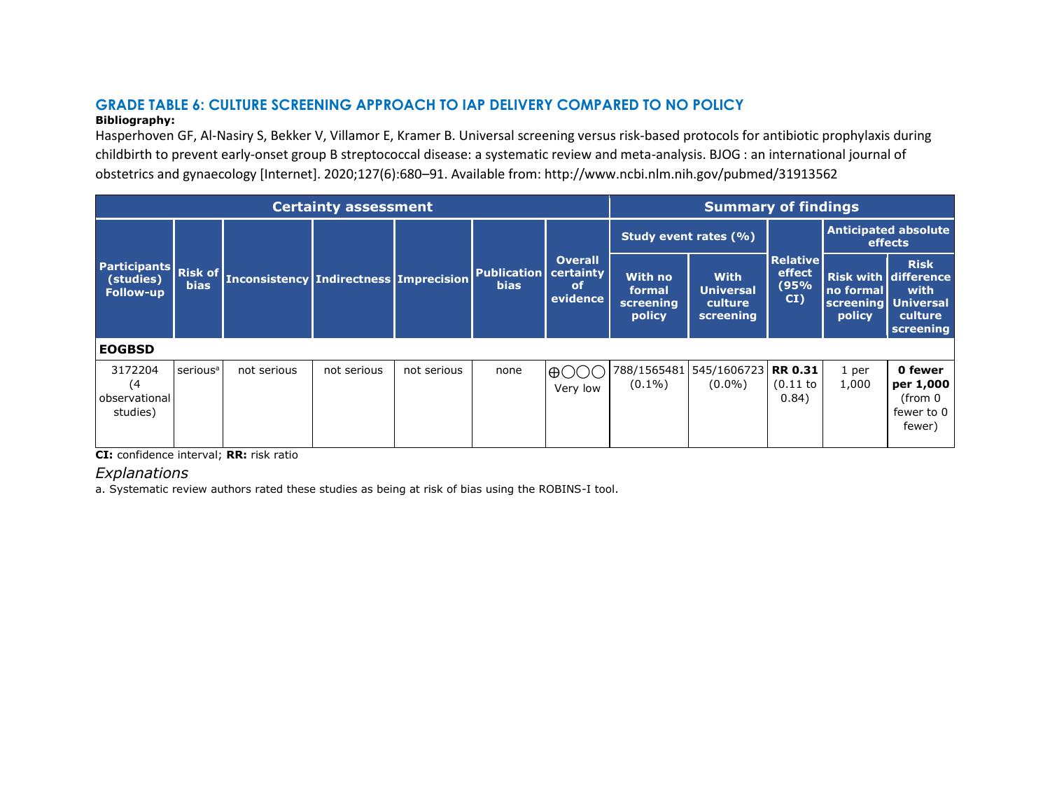# **GRADE TABLE 6: CULTURE SCREENING APPROACH TO IAP DELIVERY COMPARED TO NO POLICY**

#### **Bibliography:**

Hasperhoven GF, Al-Nasiry S, Bekker V, Villamor E, Kramer B. Universal screening versus risk-based protocols for antibiotic prophylaxis during childbirth to prevent early-onset group B streptococcal disease: a systematic review and meta-analysis. BJOG : an international journal of obstetrics and gynaecology [Internet]. 2020;127(6):680–91. Available from: http://www.ncbi.nlm.nih.gov/pubmed/31913562

|                                                      |                               |                                               | <b>Certainty assessment</b> |             |                                   |                                                      |                                          | <b>Summary of findings</b>                              |                                          |                                            |                                                                            |
|------------------------------------------------------|-------------------------------|-----------------------------------------------|-----------------------------|-------------|-----------------------------------|------------------------------------------------------|------------------------------------------|---------------------------------------------------------|------------------------------------------|--------------------------------------------|----------------------------------------------------------------------------|
|                                                      |                               |                                               |                             |             |                                   |                                                      | Study event rates (%)                    |                                                         |                                          |                                            | <b>Anticipated absolute</b><br>effects                                     |
| <b>Participants</b><br>(studies)<br><b>Follow-up</b> | <b>Risk of</b><br><b>bias</b> | <b>Inconsistency Indirectness Imprecision</b> |                             |             | <b>Publication</b><br><b>bias</b> | <b>Overall</b><br>certainty<br><b>of</b><br>evidence | With no<br>formal<br>screening<br>policy | <b>With</b><br><b>Universal</b><br>culture<br>screening | <b>Relative</b><br>effect<br>(95%<br>CI) | no formal<br>screening Universal<br>policy | <b>Risk</b><br><b>Risk with difference</b><br>with<br>culture<br>screening |
| <b>EOGBSD</b>                                        |                               |                                               |                             |             |                                   |                                                      |                                          |                                                         |                                          |                                            |                                                                            |
| 3172204<br>(4)<br>observational<br>studies)          | serious <sup>a</sup>          | not serious                                   | not serious                 | not serious | none                              | <b>A</b><br>Very low                                 | 788/1565481<br>$(0.1\%)$                 | 545/1606723 RR 0.31<br>$(0.0\%)$                        | (0.11)<br>0.84)                          | 1 per<br>1,000                             | 0 fewer<br>per 1,000<br>(from 0<br>fewer to 0<br>fewer)                    |

**CI:** confidence interval; **RR:** risk ratio

# *Explanations*

a. Systematic review authors rated these studies as being at risk of bias using the ROBINS-I tool.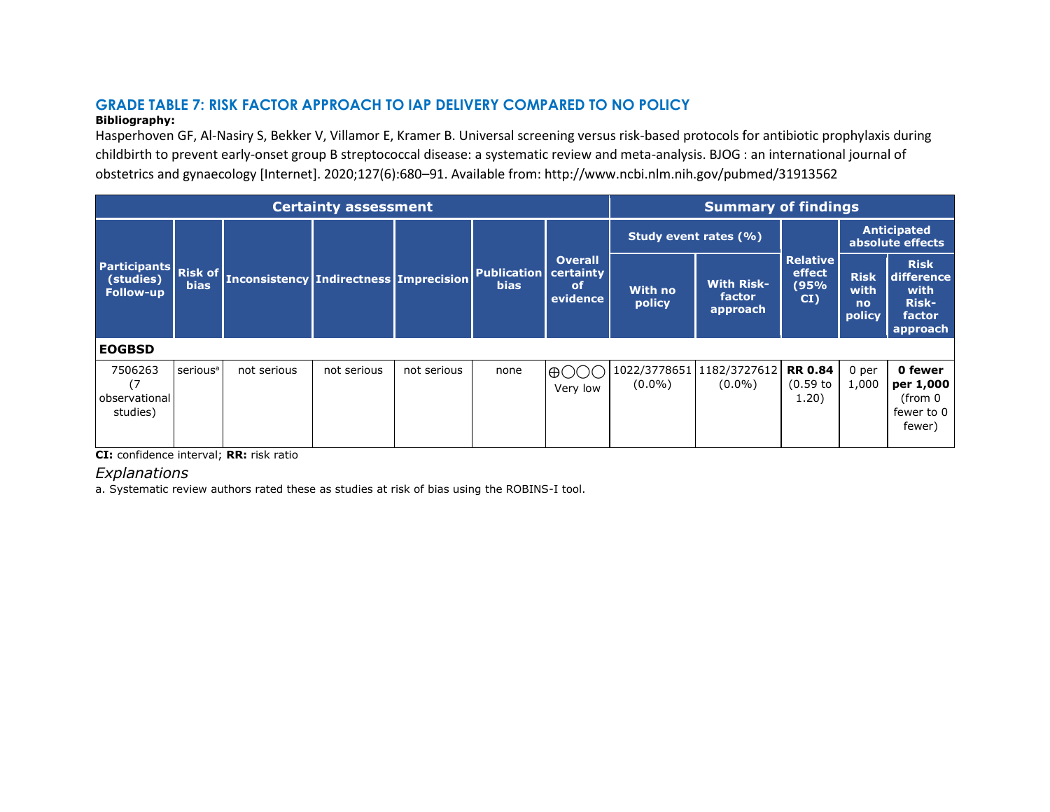# **GRADE TABLE 7: RISK FACTOR APPROACH TO IAP DELIVERY COMPARED TO NO POLICY**

#### **Bibliography:**

Hasperhoven GF, Al-Nasiry S, Bekker V, Villamor E, Kramer B. Universal screening versus risk-based protocols for antibiotic prophylaxis during childbirth to prevent early-onset group B streptococcal disease: a systematic review and meta-analysis. BJOG : an international journal of obstetrics and gynaecology [Internet]. 2020;127(6):680–91. Available from: http://www.ncbi.nlm.nih.gov/pubmed/31913562

|                                                      |                               |                                               | <b>Certainty assessment</b> |             |                                   |                                                      |                           | <b>Summary of findings</b>              |                                         |                                     |                                                                         |
|------------------------------------------------------|-------------------------------|-----------------------------------------------|-----------------------------|-------------|-----------------------------------|------------------------------------------------------|---------------------------|-----------------------------------------|-----------------------------------------|-------------------------------------|-------------------------------------------------------------------------|
|                                                      |                               |                                               |                             |             |                                   |                                                      | Study event rates (%)     |                                         |                                         |                                     | <b>Anticipated</b><br>absolute effects                                  |
| <b>Participants</b><br>(studies)<br><b>Follow-up</b> | <b>Risk of</b><br><b>bias</b> | <b>Inconsistency Indirectness Imprecision</b> |                             |             | <b>Publication</b><br><b>bias</b> | <b>Overall</b><br>certainty<br><b>of</b><br>evidence | With no<br>policy         | <b>With Risk-</b><br>factor<br>approach | <b>Relative</b><br>effect<br>(95%<br>CI | <b>Risk</b><br>with<br>no<br>policy | <b>Risk</b><br>difference<br>with<br><b>Risk-</b><br>factor<br>approach |
| <b>EOGBSD</b>                                        |                               |                                               |                             |             |                                   |                                                      |                           |                                         |                                         |                                     |                                                                         |
| 7506263<br>observational<br>studies)                 | serious <sup>a</sup>          | not serious                                   | not serious                 | not serious | none                              | $\bigoplus$ (<br>Very low                            | 1022/3778651<br>$(0.0\%)$ | 1182/3727612<br>$(0.0\%)$               | <b>RR 0.84</b><br>(0.59)<br>1.20)       | 0 per<br>1,000                      | 0 fewer<br>per 1,000<br>(from 0<br>fewer to 0<br>fewer)                 |

**CI:** confidence interval; **RR:** risk ratio

# *Explanations*

a. Systematic review authors rated these as studies at risk of bias using the ROBINS-I tool.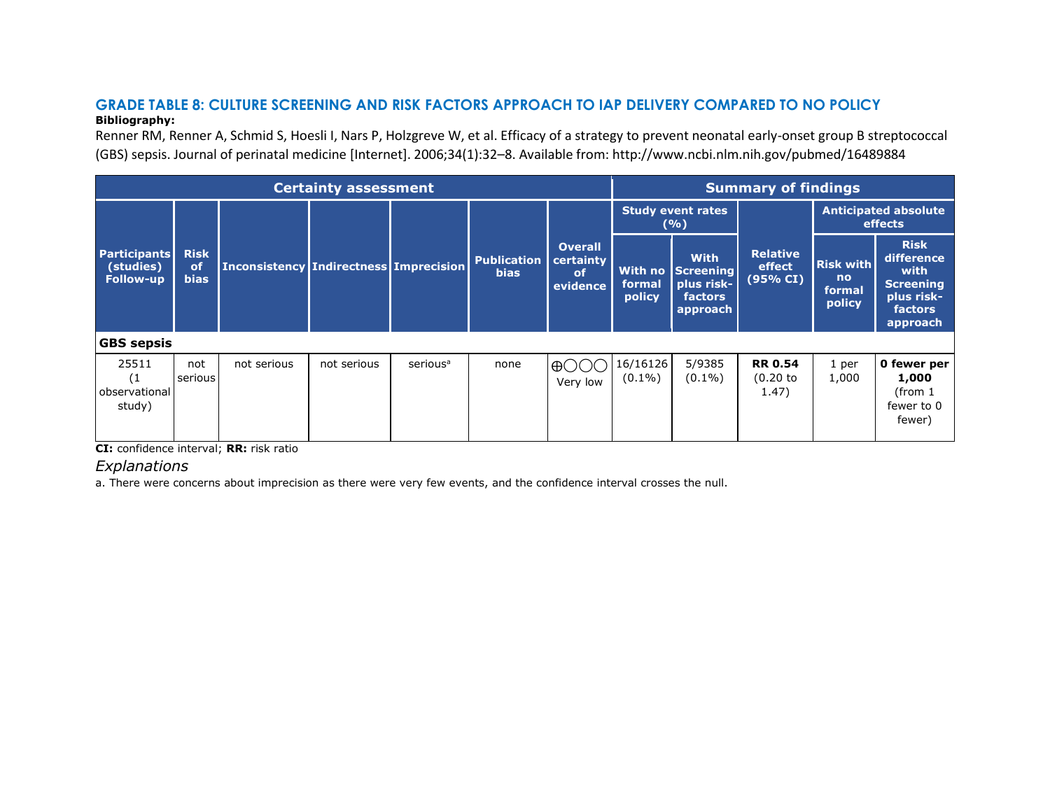#### **GRADE TABLE 8: CULTURE SCREENING AND RISK FACTORS APPROACH TO IAP DELIVERY COMPARED TO NO POLICY Bibliography:**

Renner RM, Renner A, Schmid S, Hoesli I, Nars P, Holzgreve W, et al. Efficacy of a strategy to prevent neonatal early-onset group B streptococcal (GBS) sepsis. Journal of perinatal medicine [Internet]. 2006;34(1):32–8. Available from: http://www.ncbi.nlm.nih.gov/pubmed/16489884

|                                                      |                                             |                                                   | <b>Certainty assessment</b> |                      |                                   |                                                          |                             | <b>Summary of findings</b>                                           |                                       |                                                        |                                                                                                   |
|------------------------------------------------------|---------------------------------------------|---------------------------------------------------|-----------------------------|----------------------|-----------------------------------|----------------------------------------------------------|-----------------------------|----------------------------------------------------------------------|---------------------------------------|--------------------------------------------------------|---------------------------------------------------------------------------------------------------|
|                                                      |                                             |                                                   |                             |                      |                                   |                                                          |                             | <b>Study event rates</b><br>(%)                                      |                                       |                                                        | <b>Anticipated absolute</b><br>effects                                                            |
| <b>Participants</b><br>(studies)<br><b>Follow-up</b> | <b>Risk</b><br><sub>of</sub><br><b>bias</b> | <b>Inconsistency   Indirectness   Imprecision</b> |                             |                      | <b>Publication</b><br><b>bias</b> | <b>Overall</b><br>certainty<br><sub>of</sub><br>evidence | With no<br>formal<br>policy | <b>With</b><br><b>Screening</b><br>plus risk-<br>factors<br>approach | <b>Relative</b><br>effect<br>(95% CI) | <b>Risk with</b><br>n <sub>o</sub><br>formal<br>policy | <b>Risk</b><br>difference<br>with<br><b>Screening</b><br>plus risk-<br><b>factors</b><br>approach |
| <b>GBS</b> sepsis                                    |                                             |                                                   |                             |                      |                                   |                                                          |                             |                                                                      |                                       |                                                        |                                                                                                   |
| 25511<br>(1)<br>observational<br>study)              | not<br>serious                              | not serious                                       | not serious                 | serious <sup>a</sup> | none                              | $\oplus$<br>Very low                                     | 16/16126<br>$(0.1\%)$       | 5/9385<br>$(0.1\%)$                                                  | <b>RR 0.54</b><br>$(0.20$ to<br>1.47) | 1 per<br>1,000                                         | 0 fewer per<br>1,000<br>(from 1<br>fewer to 0<br>fewer)                                           |

**CI:** confidence interval; **RR:** risk ratio

*Explanations*

a. There were concerns about imprecision as there were very few events, and the confidence interval crosses the null.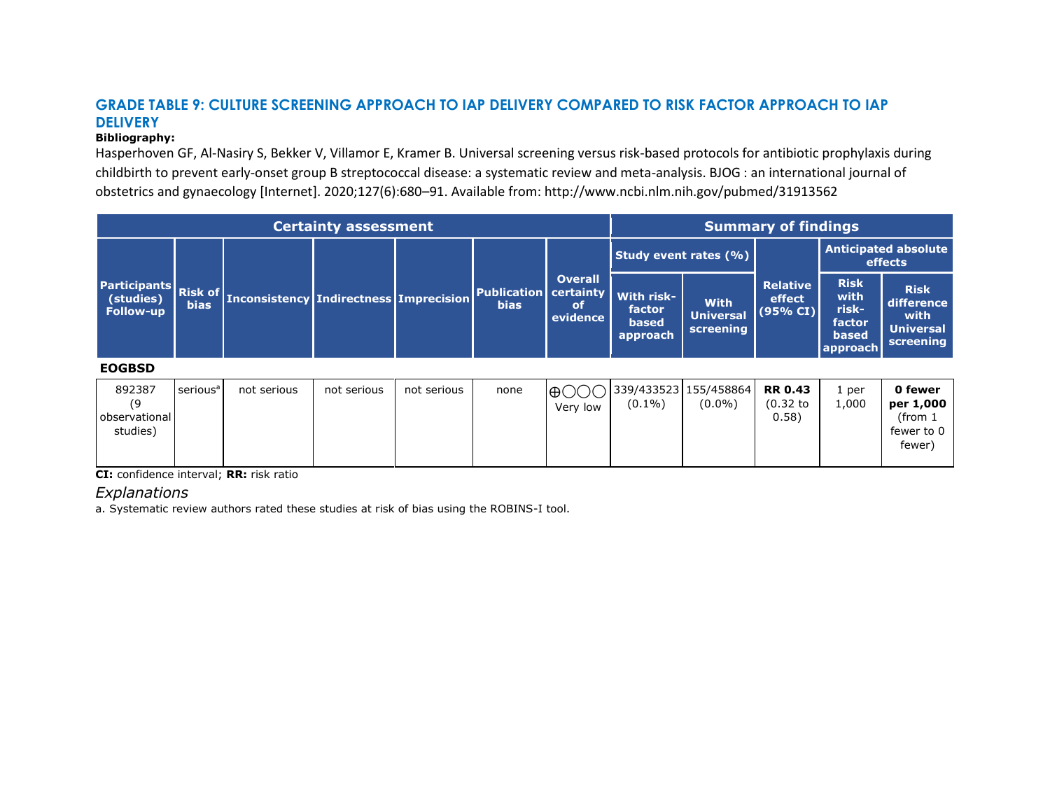# **GRADE TABLE 9: CULTURE SCREENING APPROACH TO IAP DELIVERY COMPARED TO RISK FACTOR APPROACH TO IAP DELIVERY**

#### **Bibliography:**

Hasperhoven GF, Al-Nasiry S, Bekker V, Villamor E, Kramer B. Universal screening versus risk-based protocols for antibiotic prophylaxis during childbirth to prevent early-onset group B streptococcal disease: a systematic review and meta-analysis. BJOG : an international journal of obstetrics and gynaecology [Internet]. 2020;127(6):680–91. Available from: http://www.ncbi.nlm.nih.gov/pubmed/31913562

|                                                      |                               |                                                   | <b>Certainty assessment</b> |             |                                   |                                                      | <b>Summary of findings</b>                       |                                              |                                        |                                                             |                                                                      |
|------------------------------------------------------|-------------------------------|---------------------------------------------------|-----------------------------|-------------|-----------------------------------|------------------------------------------------------|--------------------------------------------------|----------------------------------------------|----------------------------------------|-------------------------------------------------------------|----------------------------------------------------------------------|
|                                                      |                               |                                                   |                             |             |                                   |                                                      | Study event rates (%)                            |                                              |                                        |                                                             | <b>Anticipated absolute</b><br>effects                               |
| <b>Participants</b><br>(studies)<br><b>Follow-up</b> | <b>Risk of</b><br><b>bias</b> | <b>Inconsistency   Indirectness   Imprecision</b> |                             |             | <b>Publication</b><br><b>bias</b> | <b>Overall</b><br>certainty<br><b>of</b><br>evidence | With risk-<br>factor<br><b>based</b><br>approach | <b>With</b><br><b>Universal</b><br>screening | <b>Relative</b><br>effect<br>(95% CI)  | <b>Risk</b><br>with<br>risk-<br>factor<br>based<br>approach | <b>Risk</b><br>difference<br>with<br><b>Universal</b><br>screening   |
| <b>EOGBSD</b>                                        |                               |                                                   |                             |             |                                   |                                                      |                                                  |                                              |                                        |                                                             |                                                                      |
| 892387<br>(9<br>observational<br>studies)            | serious <sup>a</sup>          | not serious                                       | not serious                 | not serious | none                              | $\oplus$<br>Very low                                 | 339/433523 155/458864<br>$(0.1\%)$               | $(0.0\%)$                                    | <b>RR 0.43</b><br>$(0.32)$ to<br>0.58) | 1 per<br>1,000                                              | 0 fewer<br>per 1,000<br>(from <sub>1</sub> )<br>fewer to 0<br>fewer) |

**CI:** confidence interval; **RR:** risk ratio

# *Explanations*

a. Systematic review authors rated these studies at risk of bias using the ROBINS-I tool.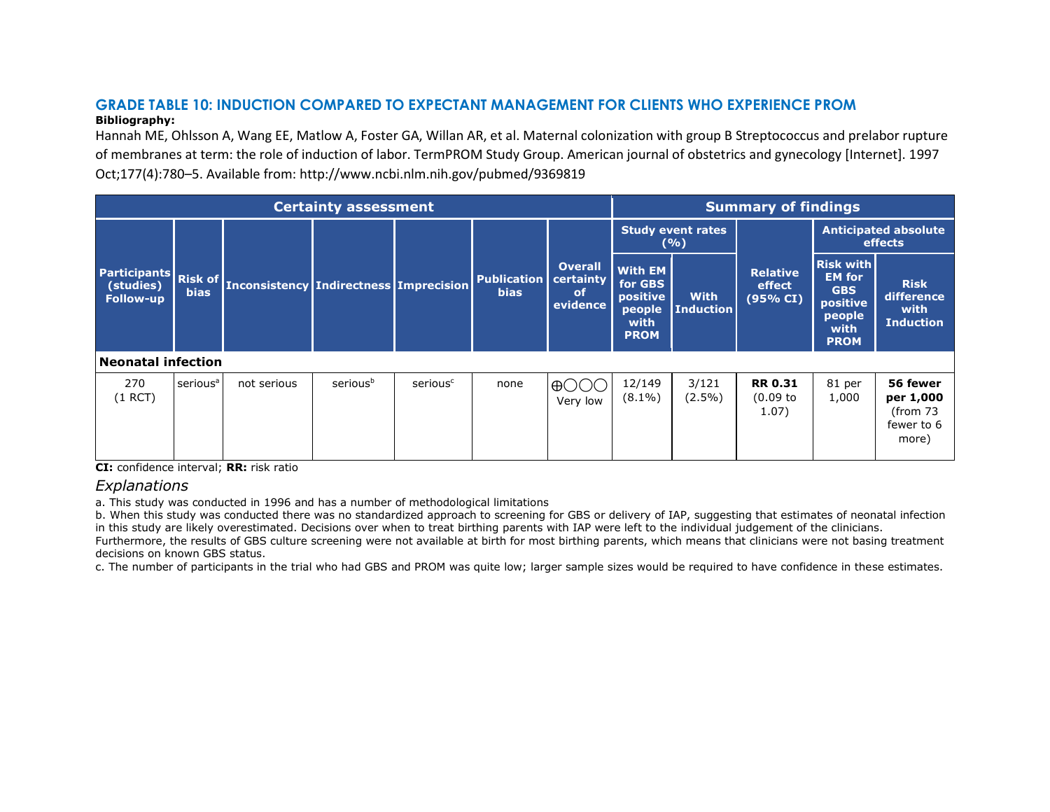#### **GRADE TABLE 10: INDUCTION COMPARED TO EXPECTANT MANAGEMENT FOR CLIENTS WHO EXPERIENCE PROM Bibliography:**

Hannah ME, Ohlsson A, Wang EE, Matlow A, Foster GA, Willan AR, et al. Maternal colonization with group B Streptococcus and prelabor rupture of membranes at term: the role of induction of labor. TermPROM Study Group. American journal of obstetrics and gynecology [Internet]. 1997 Oct;177(4):780–5. Available from: http://www.ncbi.nlm.nih.gov/pubmed/9369819

|                           | <b>Certainty assessment</b><br>Participants Risk of<br><b>Publication</b><br><b>Inconsistency Indirectness Imprecision</b><br><b>bias</b><br><b>bias</b><br><b>of</b> |             |          |                      |      |                                         |                                                                        |                                 | <b>Summary of findings</b>                       |                                                                                              |                                                          |
|---------------------------|-----------------------------------------------------------------------------------------------------------------------------------------------------------------------|-------------|----------|----------------------|------|-----------------------------------------|------------------------------------------------------------------------|---------------------------------|--------------------------------------------------|----------------------------------------------------------------------------------------------|----------------------------------------------------------|
|                           |                                                                                                                                                                       |             |          |                      |      |                                         |                                                                        | <b>Study event rates</b><br>(%) |                                                  |                                                                                              | <b>Anticipated absolute</b><br>effects                   |
| (studies)<br>Follow-up    |                                                                                                                                                                       |             |          |                      |      | <b>Overall</b><br>certainty<br>evidence | <b>With EM</b><br>for GBS<br>positive<br>people<br>with<br><b>PROM</b> | <b>With</b><br><b>Induction</b> | <b>Relative</b><br>effect<br>$(95\% \text{ CI})$ | <b>Risk with</b><br><b>EM for</b><br><b>GBS</b><br>positive<br>people<br>with<br><b>PROM</b> | <b>Risk</b><br>difference<br>with<br><b>Induction</b>    |
| <b>Neonatal infection</b> |                                                                                                                                                                       |             |          |                      |      |                                         |                                                                        |                                 |                                                  |                                                                                              |                                                          |
| 270<br>$(1$ RCT)          | serious <sup>a</sup>                                                                                                                                                  | not serious | seriousb | serious <sup>c</sup> | none | $\bigoplus ( )$<br>Very low             | 12/149<br>$(8.1\%)$                                                    | 3/121<br>$(2.5\%)$              | <b>RR 0.31</b><br>$(0.09)$ to<br>1.07)           | 81 per<br>1,000                                                                              | 56 fewer<br>per 1,000<br>(from 73<br>fewer to 6<br>more) |

**CI:** confidence interval; **RR:** risk ratio

## *Explanations*

a. This study was conducted in 1996 and has a number of methodological limitations

b. When this study was conducted there was no standardized approach to screening for GBS or delivery of IAP, suggesting that estimates of neonatal infection in this study are likely overestimated. Decisions over when to treat birthing parents with IAP were left to the individual judgement of the clinicians.

Furthermore, the results of GBS culture screening were not available at birth for most birthing parents, which means that clinicians were not basing treatment decisions on known GBS status.

c. The number of participants in the trial who had GBS and PROM was quite low; larger sample sizes would be required to have confidence in these estimates.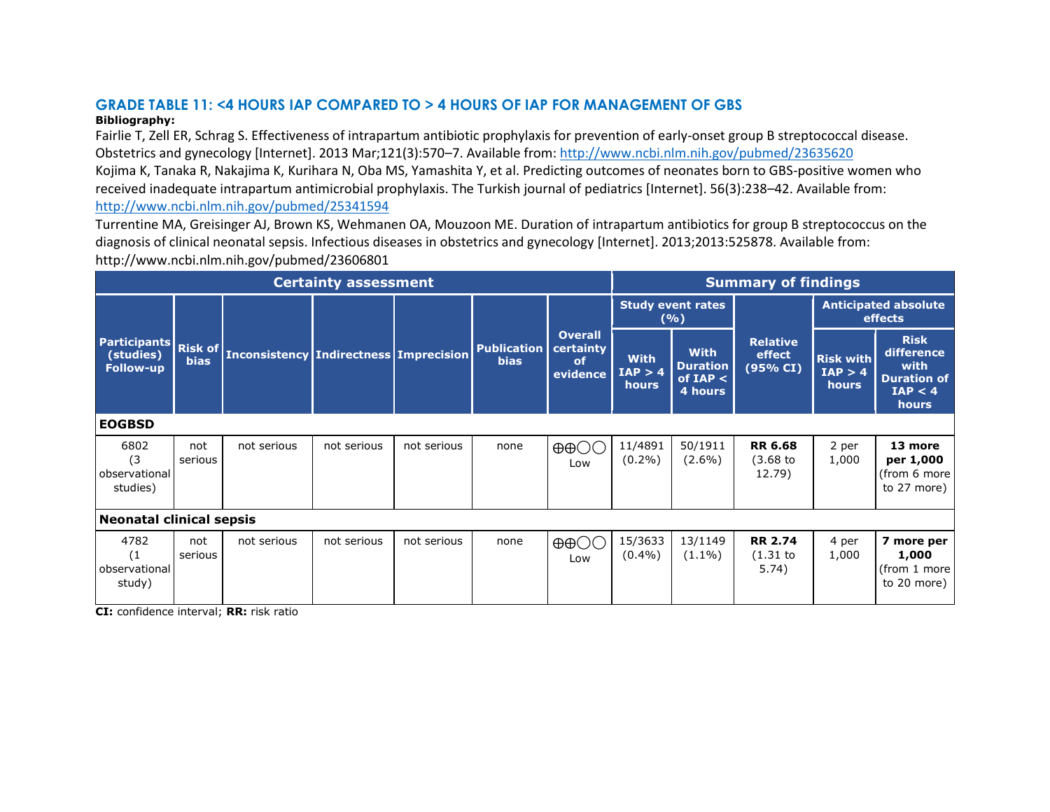# **GRADE TABLE 11: <4 HOURS IAP COMPARED TO > 4 HOURS OF IAP FOR MANAGEMENT OF GBS**

### **Bibliography:**

Fairlie T, Zell ER, Schrag S. Effectiveness of intrapartum antibiotic prophylaxis for prevention of early-onset group B streptococcal disease. Obstetrics and gynecology [Internet]. 2013 Mar;121(3):570–7. Available from:<http://www.ncbi.nlm.nih.gov/pubmed/23635620> Kojima K, Tanaka R, Nakajima K, Kurihara N, Oba MS, Yamashita Y, et al. Predicting outcomes of neonates born to GBS-positive women who received inadequate intrapartum antimicrobial prophylaxis. The Turkish journal of pediatrics [Internet]. 56(3):238–42. Available from:

<http://www.ncbi.nlm.nih.gov/pubmed/25341594>

Turrentine MA, Greisinger AJ, Brown KS, Wehmanen OA, Mouzoon ME. Duration of intrapartum antibiotics for group B streptococcus on the diagnosis of clinical neonatal sepsis. Infectious diseases in obstetrics and gynecology [Internet]. 2013;2013:525878. Available from: http://www.ncbi.nlm.nih.gov/pubmed/23606801

|                                                      |                               |                                               | <b>Certainty assessment</b> |             |                                   |                                                      |                                 |                                                         | <b>Summary of findings</b>            |                                             |                                                                             |
|------------------------------------------------------|-------------------------------|-----------------------------------------------|-----------------------------|-------------|-----------------------------------|------------------------------------------------------|---------------------------------|---------------------------------------------------------|---------------------------------------|---------------------------------------------|-----------------------------------------------------------------------------|
|                                                      |                               |                                               |                             |             |                                   |                                                      |                                 | <b>Study event rates</b><br>(%)                         |                                       |                                             | <b>Anticipated absolute</b><br>effects                                      |
| <b>Participants</b><br>(studies)<br><b>Follow-up</b> | <b>Risk of</b><br><b>bias</b> | <b>Inconsistency Indirectness Imprecision</b> |                             |             | <b>Publication</b><br><b>bias</b> | <b>Overall</b><br>certainty<br><b>of</b><br>evidence | <b>With</b><br>IAP > 4<br>hours | <b>With</b><br><b>Duration</b><br>of $IAP <$<br>4 hours | <b>Relative</b><br>effect<br>(95% CI) | <b>Risk with</b><br>IAP > 4<br><b>hours</b> | <b>Risk</b><br>difference<br>with<br><b>Duration of</b><br>IAP < 4<br>hours |
| <b>EOGBSD</b>                                        |                               |                                               |                             |             |                                   |                                                      |                                 |                                                         |                                       |                                             |                                                                             |
| 6802<br>(3)<br>observational<br>studies)             | not<br>serious                | not serious                                   | not serious                 | not serious | none                              | $\oplus \oplus \bigcirc \bigcirc$<br>Low             | 11/4891<br>$(0.2\%)$            | 50/1911<br>$(2.6\%)$                                    | <b>RR 6.68</b><br>(3.68)<br>12.79)    | 2 per<br>1,000                              | 13 more<br>per 1,000<br>(from 6 more<br>to 27 more)                         |
| <b>Neonatal clinical sepsis</b>                      |                               |                                               |                             |             |                                   |                                                      |                                 |                                                         |                                       |                                             |                                                                             |
| 4782<br>(1)<br>observational<br>study)               | not<br>serious                | not serious                                   | not serious                 | not serious | none                              | $\oplus \oplus \bigcirc \bigcirc$<br>Low             | 15/3633<br>$(0.4\%)$            | 13/1149<br>$(1.1\%)$                                    | <b>RR 2.74</b><br>(1.31)<br>5.74)     | 4 per<br>1,000                              | 7 more per<br>1,000<br>(from 1 more<br>to 20 more)                          |

**CI:** confidence interval; **RR:** risk ratio